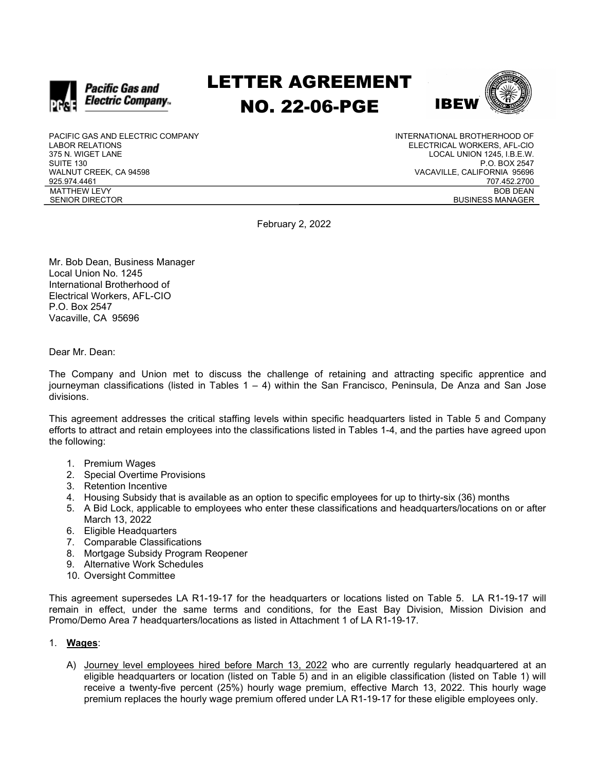

# LETTER AGREEMENT NO. 22-06-PGE



PACIFIC GAS AND ELECTRIC COMPANY LABOR RELATIONS 375 N. WIGET LANE SUITE 130 WALNUT CREEK, CA 94598 925.974.4461 MATTHEW LEVY SENIOR DIRECTOR

INTERNATIONAL BROTHERHOOD OF ELECTRICAL WORKERS, AFL-CIO LOCAL UNION 1245, I.B.E.W. P.O. BOX 2547 VACAVILLE, CALIFORNIA 95696 707.452.2700 BOB DEAN BUSINESS MANAGER

February 2, 2022

Mr. Bob Dean, Business Manager Local Union No. 1245 International Brotherhood of Electrical Workers, AFL-CIO P.O. Box 2547 Vacaville, CA 95696

Dear Mr. Dean:

The Company and Union met to discuss the challenge of retaining and attracting specific apprentice and journeyman classifications (listed in Tables  $1 - 4$ ) within the San Francisco, Peninsula, De Anza and San Jose divisions.

This agreement addresses the critical staffing levels within specific headquarters listed in Table 5 and Company efforts to attract and retain employees into the classifications listed in Tables 1-4, and the parties have agreed upon the following:

- 1. Premium Wages
- 2. Special Overtime Provisions
- 3. Retention Incentive
- 4. Housing Subsidy that is available as an option to specific employees for up to thirty-six (36) months
- 5. A Bid Lock, applicable to employees who enter these classifications and headquarters/locations on or after March 13, 2022
- 6. Eligible Headquarters
- 7. Comparable Classifications
- 8. Mortgage Subsidy Program Reopener
- 9. Alternative Work Schedules
- 10. Oversight Committee

This agreement supersedes LA R1-19-17 for the headquarters or locations listed on Table 5. LA R1-19-17 will remain in effect, under the same terms and conditions, for the East Bay Division, Mission Division and Promo/Demo Area 7 headquarters/locations as listed in Attachment 1 of LA R1-19-17.

### 1. Wages:

A) Journey level employees hired before March 13, 2022 who are currently regularly headquartered at an eligible headquarters or location (listed on Table 5) and in an eligible classification (listed on Table 1) will receive a twenty-five percent (25%) hourly wage premium, effective March 13, 2022. This hourly wage premium replaces the hourly wage premium offered under LA R1-19-17 for these eligible employees only.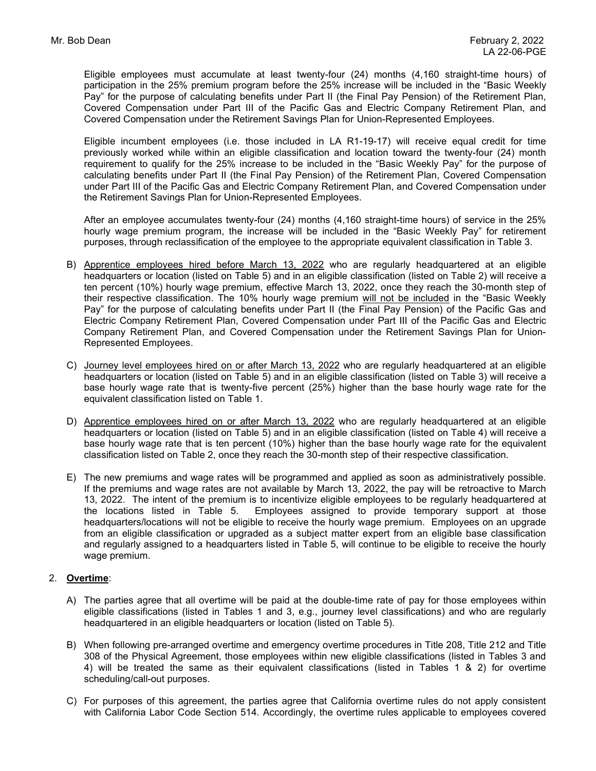Eligible employees must accumulate at least twenty-four (24) months (4,160 straight-time hours) of participation in the 25% premium program before the 25% increase will be included in the "Basic Weekly Pay" for the purpose of calculating benefits under Part II (the Final Pay Pension) of the Retirement Plan, Covered Compensation under Part III of the Pacific Gas and Electric Company Retirement Plan, and Covered Compensation under the Retirement Savings Plan for Union-Represented Employees.

Eligible incumbent employees (i.e. those included in LA R1-19-17) will receive equal credit for time previously worked while within an eligible classification and location toward the twenty-four (24) month requirement to qualify for the 25% increase to be included in the "Basic Weekly Pay" for the purpose of calculating benefits under Part II (the Final Pay Pension) of the Retirement Plan, Covered Compensation under Part III of the Pacific Gas and Electric Company Retirement Plan, and Covered Compensation under the Retirement Savings Plan for Union-Represented Employees.

After an employee accumulates twenty-four (24) months (4,160 straight-time hours) of service in the 25% hourly wage premium program, the increase will be included in the "Basic Weekly Pay" for retirement purposes, through reclassification of the employee to the appropriate equivalent classification in Table 3.

- B) Apprentice employees hired before March 13, 2022 who are regularly headquartered at an eligible headquarters or location (listed on Table 5) and in an eligible classification (listed on Table 2) will receive a ten percent (10%) hourly wage premium, effective March 13, 2022, once they reach the 30-month step of their respective classification. The 10% hourly wage premium will not be included in the "Basic Weekly Pay" for the purpose of calculating benefits under Part II (the Final Pay Pension) of the Pacific Gas and Electric Company Retirement Plan, Covered Compensation under Part III of the Pacific Gas and Electric Company Retirement Plan, and Covered Compensation under the Retirement Savings Plan for Union-Represented Employees.
- C) Journey level employees hired on or after March 13, 2022 who are regularly headquartered at an eligible headquarters or location (listed on Table 5) and in an eligible classification (listed on Table 3) will receive a base hourly wage rate that is twenty-five percent (25%) higher than the base hourly wage rate for the equivalent classification listed on Table 1.
- D) Apprentice employees hired on or after March 13, 2022 who are regularly headquartered at an eligible headquarters or location (listed on Table 5) and in an eligible classification (listed on Table 4) will receive a base hourly wage rate that is ten percent (10%) higher than the base hourly wage rate for the equivalent classification listed on Table 2, once they reach the 30-month step of their respective classification.
- E) The new premiums and wage rates will be programmed and applied as soon as administratively possible. If the premiums and wage rates are not available by March 13, 2022, the pay will be retroactive to March 13, 2022. The intent of the premium is to incentivize eligible employees to be regularly headquartered at the locations listed in Table 5. Employees assigned to provide temporary support at those headquarters/locations will not be eligible to receive the hourly wage premium. Employees on an upgrade from an eligible classification or upgraded as a subject matter expert from an eligible base classification and regularly assigned to a headquarters listed in Table 5, will continue to be eligible to receive the hourly wage premium.

### 2. Overtime:

- A) The parties agree that all overtime will be paid at the double-time rate of pay for those employees within eligible classifications (listed in Tables 1 and 3, e.g., journey level classifications) and who are regularly headquartered in an eligible headquarters or location (listed on Table 5).
- B) When following pre-arranged overtime and emergency overtime procedures in Title 208, Title 212 and Title 308 of the Physical Agreement, those employees within new eligible classifications (listed in Tables 3 and 4) will be treated the same as their equivalent classifications (listed in Tables 1 & 2) for overtime scheduling/call-out purposes.
- C) For purposes of this agreement, the parties agree that California overtime rules do not apply consistent with California Labor Code Section 514. Accordingly, the overtime rules applicable to employees covered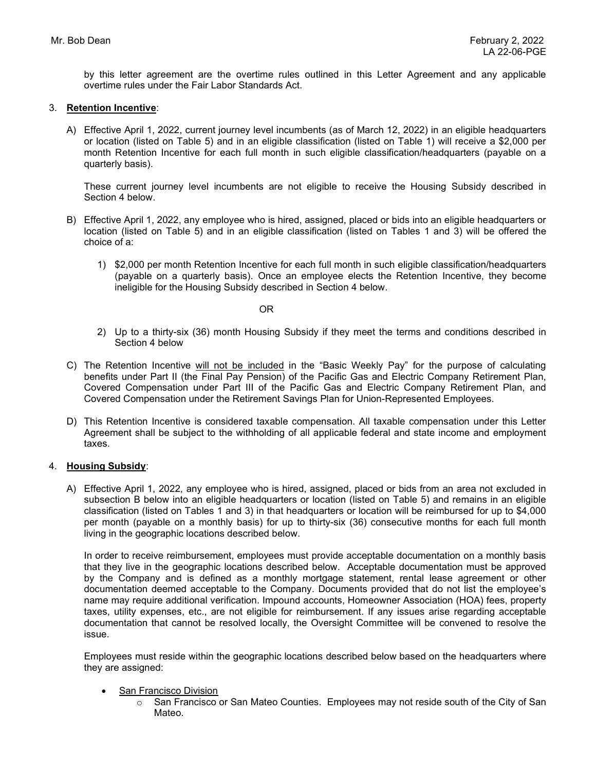by this letter agreement are the overtime rules outlined in this Letter Agreement and any applicable overtime rules under the Fair Labor Standards Act.

#### 3. Retention Incentive:

A) Effective April 1, 2022, current journey level incumbents (as of March 12, 2022) in an eligible headquarters or location (listed on Table 5) and in an eligible classification (listed on Table 1) will receive a \$2,000 per month Retention Incentive for each full month in such eligible classification/headquarters (payable on a quarterly basis).

These current journey level incumbents are not eligible to receive the Housing Subsidy described in Section 4 below.

- B) Effective April 1, 2022, any employee who is hired, assigned, placed or bids into an eligible headquarters or location (listed on Table 5) and in an eligible classification (listed on Tables 1 and 3) will be offered the choice of a:
	- 1) \$2,000 per month Retention Incentive for each full month in such eligible classification/headquarters (payable on a quarterly basis). Once an employee elects the Retention Incentive, they become ineligible for the Housing Subsidy described in Section 4 below.

OR

- 2) Up to a thirty-six (36) month Housing Subsidy if they meet the terms and conditions described in Section 4 below
- C) The Retention Incentive will not be included in the "Basic Weekly Pay" for the purpose of calculating benefits under Part II (the Final Pay Pension) of the Pacific Gas and Electric Company Retirement Plan, Covered Compensation under Part III of the Pacific Gas and Electric Company Retirement Plan, and Covered Compensation under the Retirement Savings Plan for Union-Represented Employees.
- D) This Retention Incentive is considered taxable compensation. All taxable compensation under this Letter Agreement shall be subject to the withholding of all applicable federal and state income and employment taxes.

### 4. Housing Subsidy:

A) Effective April 1, 2022, any employee who is hired, assigned, placed or bids from an area not excluded in subsection B below into an eligible headquarters or location (listed on Table 5) and remains in an eligible classification (listed on Tables 1 and 3) in that headquarters or location will be reimbursed for up to \$4,000 per month (payable on a monthly basis) for up to thirty-six (36) consecutive months for each full month living in the geographic locations described below.

In order to receive reimbursement, employees must provide acceptable documentation on a monthly basis that they live in the geographic locations described below. Acceptable documentation must be approved by the Company and is defined as a monthly mortgage statement, rental lease agreement or other documentation deemed acceptable to the Company. Documents provided that do not list the employee's name may require additional verification. Impound accounts, Homeowner Association (HOA) fees, property taxes, utility expenses, etc., are not eligible for reimbursement. If any issues arise regarding acceptable documentation that cannot be resolved locally, the Oversight Committee will be convened to resolve the issue.

Employees must reside within the geographic locations described below based on the headquarters where they are assigned:

- San Francisco Division
	- o San Francisco or San Mateo Counties. Employees may not reside south of the City of San Mateo.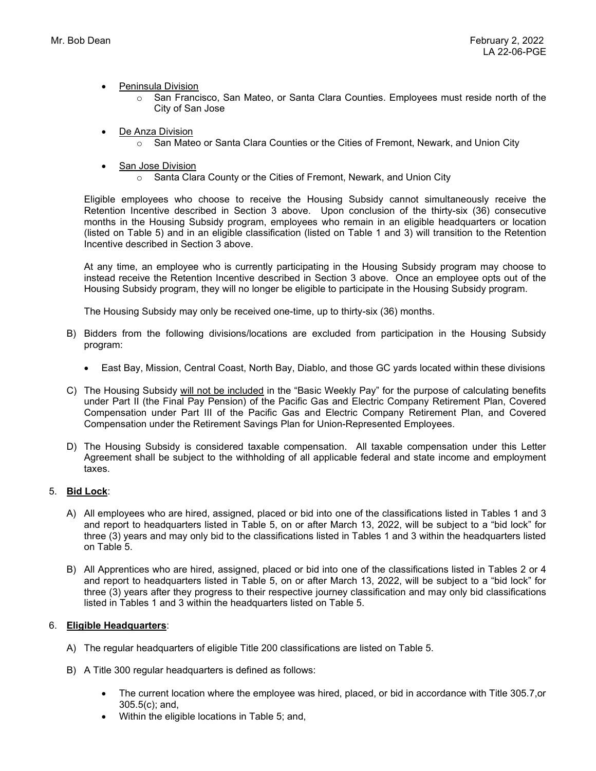- Peninsula Division
	- $\circ$  San Francisco, San Mateo, or Santa Clara Counties. Employees must reside north of the City of San Jose
- De Anza Division
	- $\circ$  San Mateo or Santa Clara Counties or the Cities of Fremont, Newark, and Union City
- San Jose Division
	- o Santa Clara County or the Cities of Fremont, Newark, and Union City

Eligible employees who choose to receive the Housing Subsidy cannot simultaneously receive the Retention Incentive described in Section 3 above. Upon conclusion of the thirty-six (36) consecutive months in the Housing Subsidy program, employees who remain in an eligible headquarters or location (listed on Table 5) and in an eligible classification (listed on Table 1 and 3) will transition to the Retention Incentive described in Section 3 above.

At any time, an employee who is currently participating in the Housing Subsidy program may choose to instead receive the Retention Incentive described in Section 3 above. Once an employee opts out of the Housing Subsidy program, they will no longer be eligible to participate in the Housing Subsidy program.

The Housing Subsidy may only be received one-time, up to thirty-six (36) months.

- B) Bidders from the following divisions/locations are excluded from participation in the Housing Subsidy program:
	- East Bay, Mission, Central Coast, North Bay, Diablo, and those GC yards located within these divisions
- C) The Housing Subsidy will not be included in the "Basic Weekly Pay" for the purpose of calculating benefits under Part II (the Final Pay Pension) of the Pacific Gas and Electric Company Retirement Plan, Covered Compensation under Part III of the Pacific Gas and Electric Company Retirement Plan, and Covered Compensation under the Retirement Savings Plan for Union-Represented Employees.
- D) The Housing Subsidy is considered taxable compensation. All taxable compensation under this Letter Agreement shall be subject to the withholding of all applicable federal and state income and employment taxes.

### 5. Bid Lock:

- A) All employees who are hired, assigned, placed or bid into one of the classifications listed in Tables 1 and 3 and report to headquarters listed in Table 5, on or after March 13, 2022, will be subject to a "bid lock" for three (3) years and may only bid to the classifications listed in Tables 1 and 3 within the headquarters listed on Table 5.
- B) All Apprentices who are hired, assigned, placed or bid into one of the classifications listed in Tables 2 or 4 and report to headquarters listed in Table 5, on or after March 13, 2022, will be subject to a "bid lock" for three (3) years after they progress to their respective journey classification and may only bid classifications listed in Tables 1 and 3 within the headquarters listed on Table 5.

### 6. Eligible Headquarters:

- A) The regular headquarters of eligible Title 200 classifications are listed on Table 5.
- B) A Title 300 regular headquarters is defined as follows:
	- The current location where the employee was hired, placed, or bid in accordance with Title 305.7,or 305.5(c); and,
	- Within the eligible locations in Table 5; and,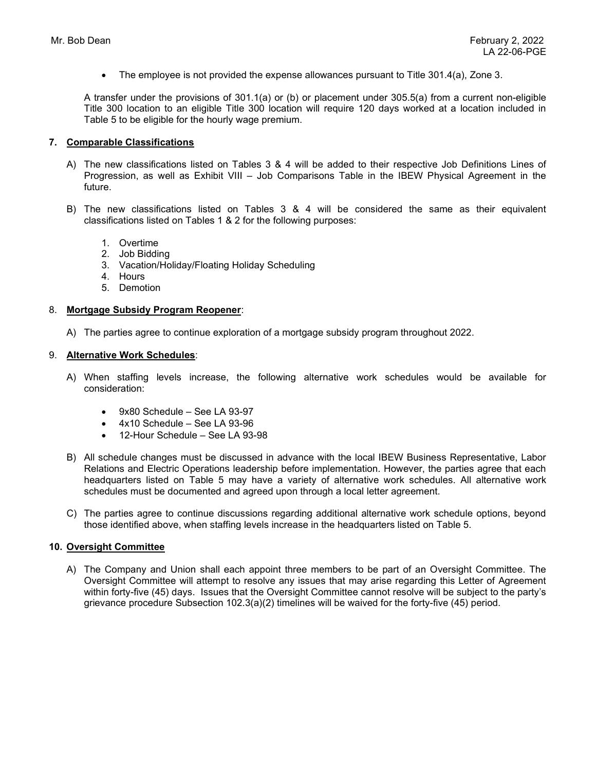$\bullet$  The employee is not provided the expense allowances pursuant to Title 301.4(a), Zone 3.

A transfer under the provisions of 301.1(a) or (b) or placement under 305.5(a) from a current non-eligible Title 300 location to an eligible Title 300 location will require 120 days worked at a location included in Table 5 to be eligible for the hourly wage premium.

### 7. Comparable Classifications

- A) The new classifications listed on Tables 3 & 4 will be added to their respective Job Definitions Lines of Progression, as well as Exhibit VIII – Job Comparisons Table in the IBEW Physical Agreement in the future.
- B) The new classifications listed on Tables 3 & 4 will be considered the same as their equivalent classifications listed on Tables 1 & 2 for the following purposes:
	- 1. Overtime
	- 2. Job Bidding
	- 3. Vacation/Holiday/Floating Holiday Scheduling
	- 4. Hours
	- 5. Demotion

#### 8. Mortgage Subsidy Program Reopener:

A) The parties agree to continue exploration of a mortgage subsidy program throughout 2022.

#### 9. Alternative Work Schedules:

- A) When staffing levels increase, the following alternative work schedules would be available for consideration:
	- 9x80 Schedule See LA 93-97
	- 4x10 Schedule See LA 93-96
	- 12-Hour Schedule See LA 93-98
- B) All schedule changes must be discussed in advance with the local IBEW Business Representative, Labor Relations and Electric Operations leadership before implementation. However, the parties agree that each headquarters listed on Table 5 may have a variety of alternative work schedules. All alternative work schedules must be documented and agreed upon through a local letter agreement.
- C) The parties agree to continue discussions regarding additional alternative work schedule options, beyond those identified above, when staffing levels increase in the headquarters listed on Table 5.

#### 10. Oversight Committee

A) The Company and Union shall each appoint three members to be part of an Oversight Committee. The Oversight Committee will attempt to resolve any issues that may arise regarding this Letter of Agreement within forty-five (45) days. Issues that the Oversight Committee cannot resolve will be subject to the party's grievance procedure Subsection 102.3(a)(2) timelines will be waived for the forty-five (45) period.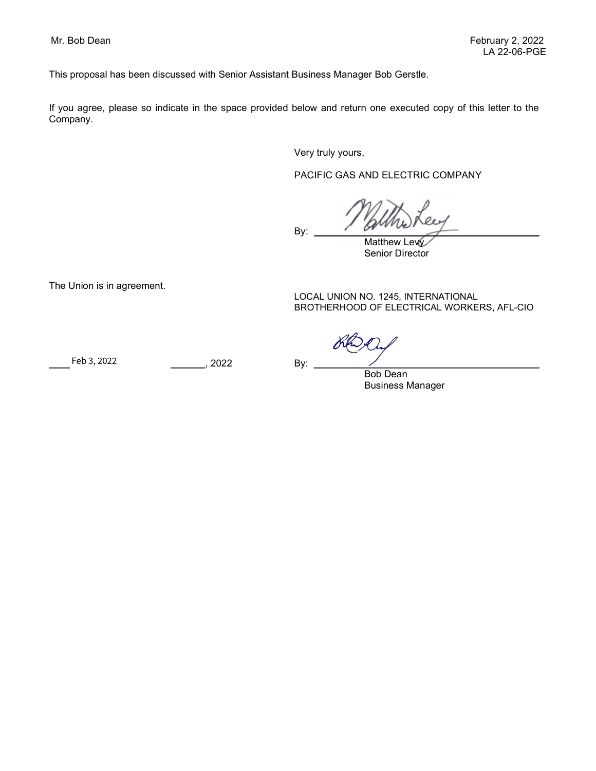This proposal has been discussed with Senior Assistant Business Manager Bob Gerstle.

If you agree, please so indicate in the space provided below and return one executed copy of this letter to the Company.

Very truly yours,

PACIFIC GAS AND ELECTRIC COMPANY

By:

Matthew Levy Senior Director

The Union is in agreement.

LOCAL UNION NO. 1245, INTERNATIONAL BROTHERHOOD OF ELECTRICAL WORKERS, AFL-CIO

Feb 3, 2022 By: By: 2022 Feb 3, 2022

Bob Dean Business Manager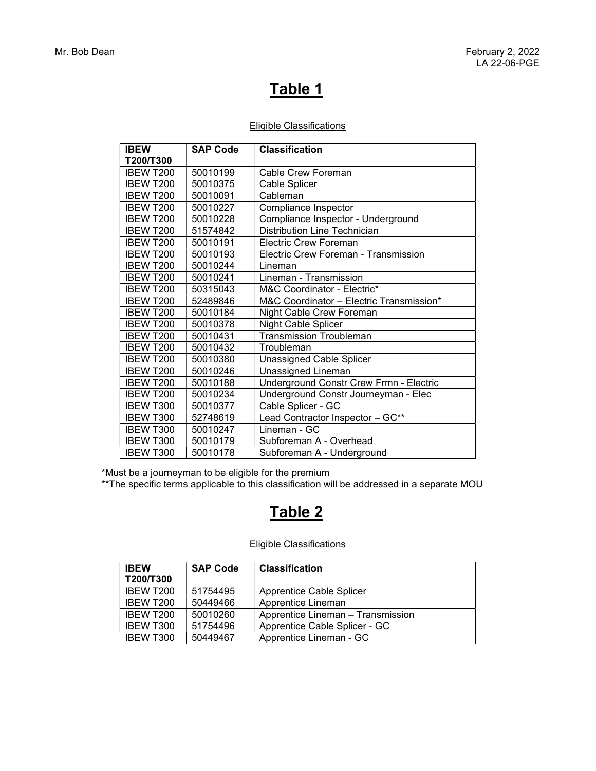## Eligible Classifications

| <b>IBEW</b>      | <b>SAP Code</b> | <b>Classification</b>                    |
|------------------|-----------------|------------------------------------------|
| T200/T300        |                 |                                          |
| IBEW T200        | 50010199        | Cable Crew Foreman                       |
| <b>IBEW T200</b> | 50010375        | Cable Splicer                            |
| IBEW T200        | 50010091        | Cableman                                 |
| IBEW T200        | 50010227        | Compliance Inspector                     |
| IBEW T200        | 50010228        | Compliance Inspector - Underground       |
| <b>IBEW T200</b> | 51574842        | <b>Distribution Line Technician</b>      |
| IBEW T200        | 50010191        | <b>Electric Crew Foreman</b>             |
| <b>IBEW T200</b> | 50010193        | Electric Crew Foreman - Transmission     |
| <b>IBEW T200</b> | 50010244        | Lineman                                  |
| <b>IBEW T200</b> | 50010241        | Lineman - Transmission                   |
| IBEW T200        | 50315043        | M&C Coordinator - Electric*              |
| IBEW T200        | 52489846        | M&C Coordinator - Electric Transmission* |
| IBEW T200        | 50010184        | Night Cable Crew Foreman                 |
| IBEW T200        | 50010378        | <b>Night Cable Splicer</b>               |
| IBEW T200        | 50010431        | <b>Transmission Troubleman</b>           |
| IBEW T200        | 50010432        | Troubleman                               |
| <b>IBEW T200</b> | 50010380        | <b>Unassigned Cable Splicer</b>          |
| IBEW T200        | 50010246        | Unassigned Lineman                       |
| <b>IBEW T200</b> | 50010188        | Underground Constr Crew Frmn - Electric  |
| IBEW T200        | 50010234        | Underground Constr Journeyman - Elec     |
| IBEW T300        | 50010377        | Cable Splicer - GC                       |
| IBEW T300        | 52748619        | Lead Contractor Inspector - GC**         |
| IBEW T300        | 50010247        | Lineman - GC                             |
| <b>IBEW T300</b> | 50010179        | Subforeman A - Overhead                  |
| <b>IBEW T300</b> | 50010178        | Subforeman A - Underground               |

\*Must be a journeyman to be eligible for the premium

\*\*The specific terms applicable to this classification will be addressed in a separate MOU

## Table 2

## Eligible Classifications

| <b>IBEW</b><br>T200/T300 | <b>SAP Code</b> | <b>Classification</b>             |
|--------------------------|-----------------|-----------------------------------|
| IBEW T200                | 51754495        | <b>Apprentice Cable Splicer</b>   |
| IBEW T200                | 50449466        | Apprentice Lineman                |
| IBEW T200                | 50010260        | Apprentice Lineman - Transmission |
| <b>IBEW T300</b>         | 51754496        | Apprentice Cable Splicer - GC     |
| <b>IBEW T300</b>         | 50449467        | Apprentice Lineman - GC           |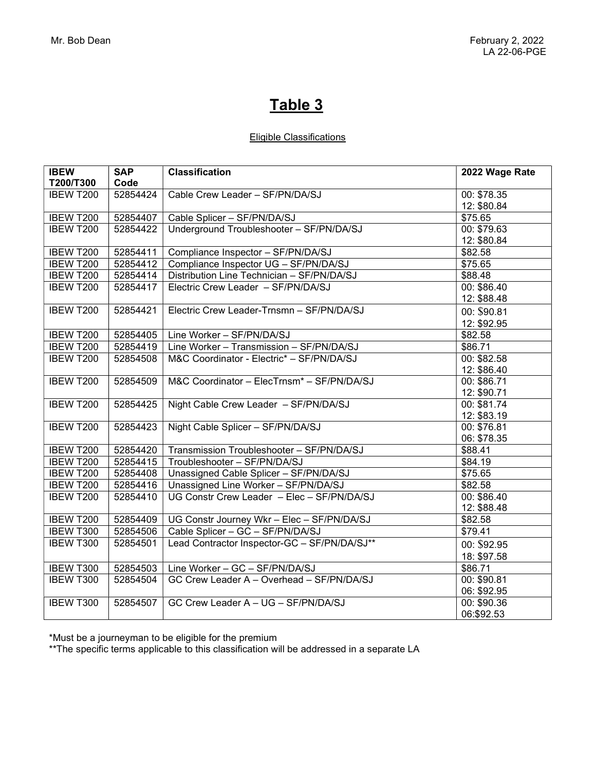## Eligible Classifications

| <b>IBEW</b>      | <b>SAP</b> | <b>Classification</b>                                  | 2022 Wage Rate          |
|------------------|------------|--------------------------------------------------------|-------------------------|
| T200/T300        | Code       |                                                        |                         |
| IBEW T200        | 52854424   | Cable Crew Leader - SF/PN/DA/SJ                        | 00: \$78.35             |
|                  |            |                                                        | 12: \$80.84             |
| IBEW T200        | 52854407   | Cable Splicer - SF/PN/DA/SJ                            | \$75.65                 |
| <b>IBEW T200</b> | 52854422   | Underground Troubleshooter - SF/PN/DA/SJ               | 00: \$79.63             |
|                  |            |                                                        | 12: \$80.84             |
| <b>IBEW T200</b> | 52854411   | Compliance Inspector - SF/PN/DA/SJ                     | \$82.58                 |
| IBEW T200        | 52854412   | Compliance Inspector UG - SF/PN/DA/SJ                  | \$75.65                 |
| IBEW T200        | 52854414   | Distribution Line Technician - SF/PN/DA/SJ             | \$88.48                 |
| IBEW T200        | 52854417   | Electric Crew Leader - SF/PN/DA/SJ                     | $00: $86.\overline{40}$ |
|                  |            |                                                        | 12: \$88.48             |
| IBEW T200        | 52854421   | Electric Crew Leader-Trnsmn - SF/PN/DA/SJ              | 00: \$90.81             |
|                  |            |                                                        | 12: \$92.95             |
| IBEW T200        | 52854405   | Line Worker - SF/PN/DA/SJ                              | \$82.58                 |
| IBEW T200        | 52854419   | Line Worker - Transmission - SF/PN/DA/SJ               | \$86.71                 |
| IBEW T200        | 52854508   | M&C Coordinator - Electric* - SF/PN/DA/SJ              | 00: \$82.58             |
|                  |            |                                                        | 12: \$86.40             |
| <b>IBEW T200</b> | 52854509   | M&C Coordinator - ElecTrnsm <sup>*</sup> - SF/PN/DA/SJ | 00: \$86.71             |
|                  |            |                                                        | 12: \$90.71             |
| IBEW T200        | 52854425   | Night Cable Crew Leader - SF/PN/DA/SJ                  | 00: \$81.74             |
|                  |            |                                                        | 12: \$83.19             |
| IBEW T200        | 52854423   | Night Cable Splicer - SF/PN/DA/SJ                      | 00: \$76.81             |
|                  |            |                                                        | 06: \$78.35             |
| IBEW T200        | 52854420   | Transmission Troubleshooter - SF/PN/DA/SJ              | \$88.41                 |
| IBEW T200        | 52854415   | Troubleshooter - SF/PN/DA/SJ                           | \$84.19                 |
| IBEW T200        | 52854408   | Unassigned Cable Splicer - SF/PN/DA/SJ                 | \$75.65                 |
| IBEW T200        | 52854416   | Unassigned Line Worker - SF/PN/DA/SJ                   | \$82.58                 |
| IBEW T200        | 52854410   | UG Constr Crew Leader - Elec - SF/PN/DA/SJ             | 00: \$86.40             |
|                  |            |                                                        | 12: \$88.48             |
| IBEW T200        | 52854409   | UG Constr Journey Wkr - Elec - SF/PN/DA/SJ             | \$82.58                 |
| IBEW T300        | 52854506   | Cable Splicer - GC - SF/PN/DA/SJ                       | \$79.41                 |
| IBEW T300        | 52854501   | Lead Contractor Inspector-GC - SF/PN/DA/SJ**           | 00: \$92.95             |
|                  |            |                                                        | 18: \$97.58             |
| IBEW T300        | 52854503   | Line Worker - GC - SF/PN/DA/SJ                         | \$86.71                 |
| IBEW T300        | 52854504   | GC Crew Leader A - Overhead - SF/PN/DA/SJ              | 00: \$90.81             |
|                  |            |                                                        | 06: \$92.95             |
| IBEW T300        | 52854507   | GC Crew Leader A - UG - SF/PN/DA/SJ                    | 00: \$90.36             |
|                  |            |                                                        | 06:\$92.53              |

\*Must be a journeyman to be eligible for the premium

\*\*The specific terms applicable to this classification will be addressed in a separate LA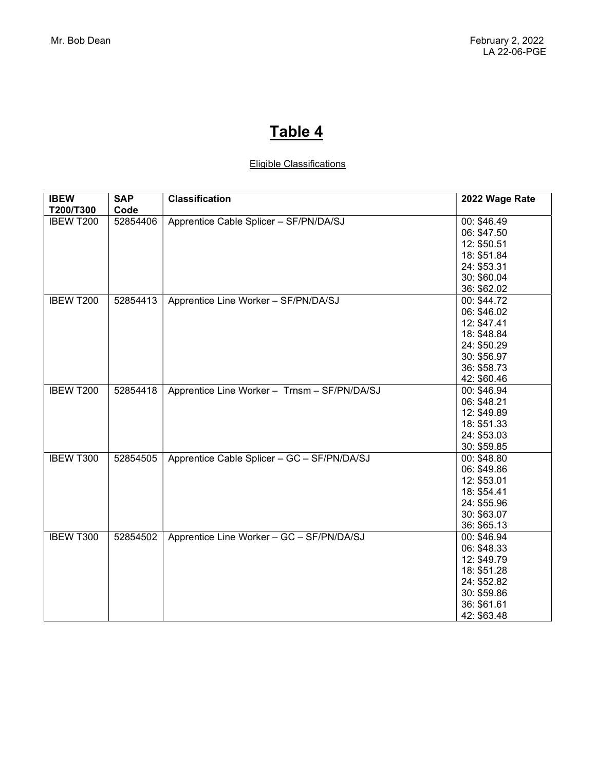## Eligible Classifications

| <b>IBEW</b> | <b>SAP</b> | <b>Classification</b>                        | 2022 Wage Rate |
|-------------|------------|----------------------------------------------|----------------|
| T200/T300   | Code       |                                              |                |
| IBEW T200   | 52854406   | Apprentice Cable Splicer - SF/PN/DA/SJ       | 00: \$46.49    |
|             |            |                                              | 06: \$47.50    |
|             |            |                                              | 12: \$50.51    |
|             |            |                                              | 18: \$51.84    |
|             |            |                                              | 24: \$53.31    |
|             |            |                                              | 30: \$60.04    |
|             |            |                                              | 36: \$62.02    |
| IBEW T200   | 52854413   | Apprentice Line Worker - SF/PN/DA/SJ         | 00: \$44.72    |
|             |            |                                              | 06: \$46.02    |
|             |            |                                              | 12: \$47.41    |
|             |            |                                              | 18: \$48.84    |
|             |            |                                              | 24: \$50.29    |
|             |            |                                              | 30: \$56.97    |
|             |            |                                              | 36: \$58.73    |
|             |            |                                              | 42: \$60.46    |
| IBEW T200   | 52854418   | Apprentice Line Worker - Trnsm - SF/PN/DA/SJ | 00: \$46.94    |
|             |            |                                              | 06: \$48.21    |
|             |            |                                              | 12: \$49.89    |
|             |            |                                              | 18: \$51.33    |
|             |            |                                              | 24: \$53.03    |
|             |            |                                              | 30: \$59.85    |
| IBEW T300   | 52854505   | Apprentice Cable Splicer - GC - SF/PN/DA/SJ  | 00: \$48.80    |
|             |            |                                              | 06: \$49.86    |
|             |            |                                              | 12: \$53.01    |
|             |            |                                              | 18: \$54.41    |
|             |            |                                              | 24: \$55.96    |
|             |            |                                              | 30: \$63.07    |
|             |            |                                              | 36: \$65.13    |
| IBEW T300   | 52854502   | Apprentice Line Worker - GC - SF/PN/DA/SJ    | 00: \$46.94    |
|             |            |                                              | 06: \$48.33    |
|             |            |                                              | 12: \$49.79    |
|             |            |                                              | 18: \$51.28    |
|             |            |                                              | 24: \$52.82    |
|             |            |                                              | 30: \$59.86    |
|             |            |                                              | 36: \$61.61    |
|             |            |                                              | 42: \$63.48    |